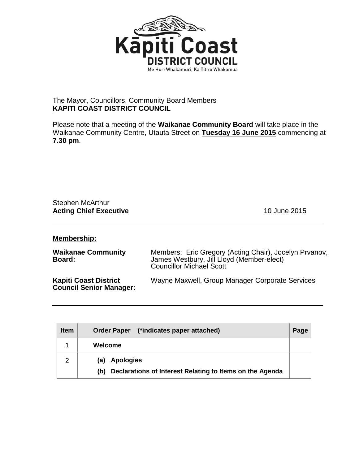

## The Mayor, Councillors, Community Board Members **KAPITI COAST DISTRICT COUNCIL**

Please note that a meeting of the **Waikanae Community Board** will take place in the Waikanae Community Centre, Utauta Street on **Tuesday 16 June 2015** commencing at **7.30 pm**.

| Stephen McArthur              |
|-------------------------------|
| <b>Acting Chief Executive</b> |

**Acting Chief Executive** 10 June 2015

## **Membership:**

| <b>Waikanae Community</b><br>Board:                            | Members: Eric Gregory (Acting Chair), Jocelyn Prvanov,<br>James Westbury, Jill Lloyd (Member-elect)<br><b>Councillor Michael Scott</b> |  |
|----------------------------------------------------------------|----------------------------------------------------------------------------------------------------------------------------------------|--|
| <b>Kapiti Coast District</b><br><b>Council Senior Manager:</b> | Wayne Maxwell, Group Manager Corporate Services                                                                                        |  |

| <b>Item</b>    | (*indicates paper attached)<br><b>Order Paper</b>               | Page |
|----------------|-----------------------------------------------------------------|------|
|                | Welcome                                                         |      |
| $\overline{2}$ | <b>Apologies</b><br>(a)                                         |      |
|                | Declarations of Interest Relating to Items on the Agenda<br>(b) |      |